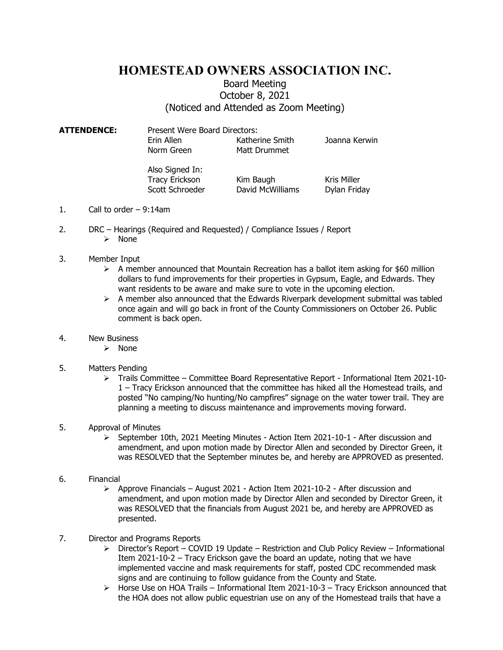## HOMESTEAD OWNERS ASSOCIATION INC.

## Board Meeting October 8, 2021 (Noticed and Attended as Zoom Meeting)

ATTENDENCE: Present Were Board Directors: Erin Allen Katherine Smith Joanna Kerwin Norm Green Matt Drummet

> Also Signed In: Tracy Erickson Kim Baugh Kris Miller Scott Schroeder David McWilliams Dylan Friday

- 1. Call to order 9:14am
- 2. DRC Hearings (Required and Requested) / Compliance Issues / Report
	- $\triangleright$  None
- 3. Member Input
	- $\triangleright$  A member announced that Mountain Recreation has a ballot item asking for \$60 million dollars to fund improvements for their properties in Gypsum, Eagle, and Edwards. They want residents to be aware and make sure to vote in the upcoming election.
	- $\triangleright$  A member also announced that the Edwards Riverpark development submittal was tabled once again and will go back in front of the County Commissioners on October 26. Public comment is back open.
- 4. New Business
	- > None
- 5. Matters Pending
	- $\triangleright$  Trails Committee Committee Board Representative Report Informational Item 2021-10-1 – Tracy Erickson announced that the committee has hiked all the Homestead trails, and posted "No camping/No hunting/No campfires" signage on the water tower trail. They are planning a meeting to discuss maintenance and improvements moving forward.

## 5. Approval of Minutes

- $\geq$  September 10th, 2021 Meeting Minutes Action Item 2021-10-1 After discussion and amendment, and upon motion made by Director Allen and seconded by Director Green, it was RESOLVED that the September minutes be, and hereby are APPROVED as presented.
- 6. Financial
	- $\triangleright$  Approve Financials August 2021 Action Item 2021-10-2 After discussion and amendment, and upon motion made by Director Allen and seconded by Director Green, it was RESOLVED that the financials from August 2021 be, and hereby are APPROVED as presented.
- 7. Director and Programs Reports
	- $\triangleright$  Director's Report COVID 19 Update Restriction and Club Policy Review Informational Item 2021-10-2 – Tracy Erickson gave the board an update, noting that we have implemented vaccine and mask requirements for staff, posted CDC recommended mask signs and are continuing to follow guidance from the County and State.
	- $\triangleright$  Horse Use on HOA Trails Informational Item 2021-10-3 Tracy Erickson announced that the HOA does not allow public equestrian use on any of the Homestead trails that have a